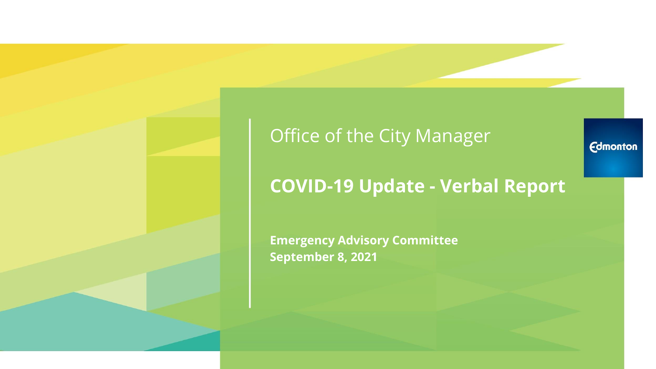## Office of the City Manager

## **COVID-19 Update - Verbal Report**

**Emergency Advisory Committee September 8, 2021**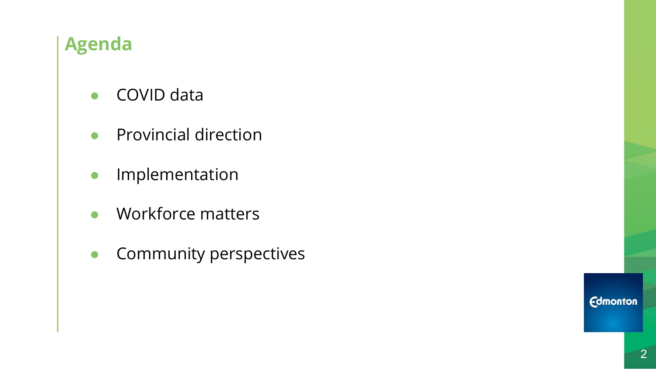## **Agenda**

- COVID data
- Provincial direction
- **•** Implementation
- Workforce matters
- **•** Community perspectives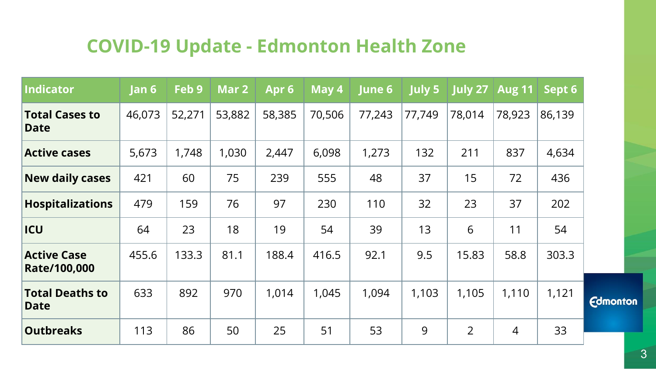## **COVID-19 Update - Edmonton Health Zone**

| Indicator                             | Jan 6  | Feb 9  | Mar 2  | Apr <sub>6</sub> | May 4  | June 6 | <b>July 5</b> | <b>July 27</b> | <b>Aug 11</b> | Sept 6 |
|---------------------------------------|--------|--------|--------|------------------|--------|--------|---------------|----------------|---------------|--------|
| <b>Total Cases to</b><br><b>Date</b>  | 46,073 | 52,271 | 53,882 | 58,385           | 70,506 | 77,243 | 77,749        | 78,014         | 78,923        | 86,139 |
| <b>Active cases</b>                   | 5,673  | 1,748  | 1,030  | 2,447            | 6,098  | 1,273  | 132           | 211            | 837           | 4,634  |
| <b>New daily cases</b>                | 421    | 60     | 75     | 239              | 555    | 48     | 37            | 15             | 72            | 436    |
| <b>Hospitalizations</b>               | 479    | 159    | 76     | 97               | 230    | 110    | 32            | 23             | 37            | 202    |
| <b>ICU</b>                            | 64     | 23     | 18     | 19               | 54     | 39     | 13            | 6              | 11            | 54     |
| <b>Active Case</b><br>Rate/100,000    | 455.6  | 133.3  | 81.1   | 188.4            | 416.5  | 92.1   | 9.5           | 15.83          | 58.8          | 303.3  |
| <b>Total Deaths to</b><br><b>Date</b> | 633    | 892    | 970    | 1,014            | 1,045  | 1,094  | 1,103         | 1,105          | 1,110         | 1,121  |
| <b>Outbreaks</b>                      | 113    | 86     | 50     | 25               | 51     | 53     | 9             | $\overline{2}$ | 4             | 33     |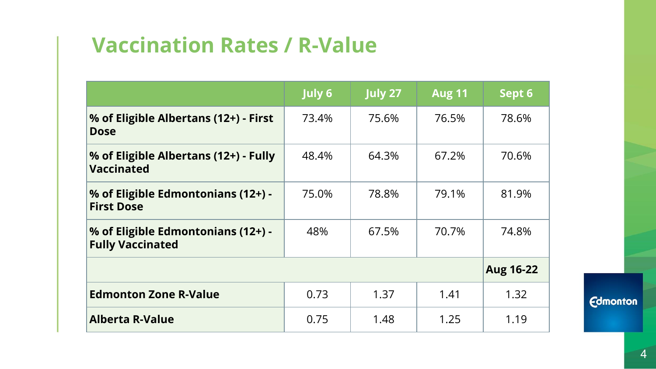# **Vaccination Rates / R-Value**

|                                                               | July 6 | <b>July 27</b> | <b>Aug 11</b> | Sept 6           |
|---------------------------------------------------------------|--------|----------------|---------------|------------------|
| % of Eligible Albertans (12+) - First<br><b>Dose</b>          | 73.4%  | 75.6%          | 76.5%         | 78.6%            |
| % of Eligible Albertans (12+) - Fully<br><b>Vaccinated</b>    | 48.4%  | 64.3%          | 67.2%         | 70.6%            |
| % of Eligible Edmontonians (12+) -<br><b>First Dose</b>       | 75.0%  | 78.8%          | 79.1%         | 81.9%            |
| % of Eligible Edmontonians (12+) -<br><b>Fully Vaccinated</b> | 48%    | 67.5%          | 70.7%         | 74.8%            |
|                                                               |        |                |               | <b>Aug 16-22</b> |
| <b>Edmonton Zone R-Value</b>                                  | 0.73   | 1.37           | 1.41          | 1.32             |
| <b>Alberta R-Value</b>                                        | 0.75   | 1.48           | 1.25          | 1.19             |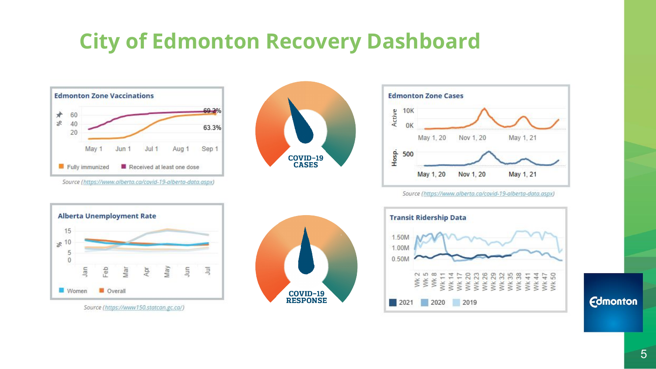# **City of Edmonton Recovery Dashboard**



Source (https://www.alberta.ca/covid-19-alberta-data.aspx)



Source (https://www150.statcan.gc.ca/)



COVID-19<br>RESPONSE



Source (https://www.alberta.ca/covid-19-alberta-data.aspx)

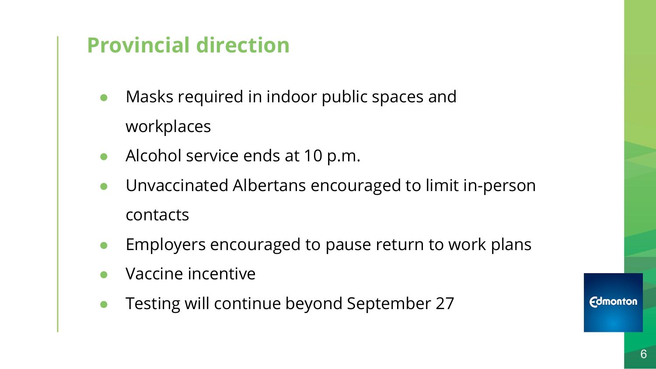# **Provincial direction**

- Masks required in indoor public spaces and workplaces
- Alcohol service ends at 10 p.m.
- Unvaccinated Albertans encouraged to limit in-person contacts
- Employers encouraged to pause return to work plans
- Vaccine incentive
- Testing will continue beyond September 27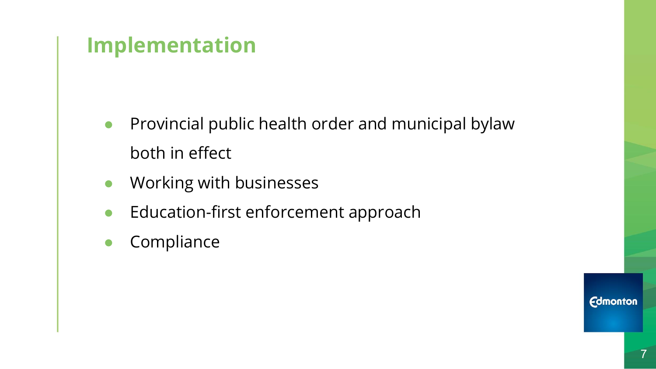# **Implementation**

- Provincial public health order and municipal bylaw both in effect
- Working with businesses
- Education-first enforcement approach
- Compliance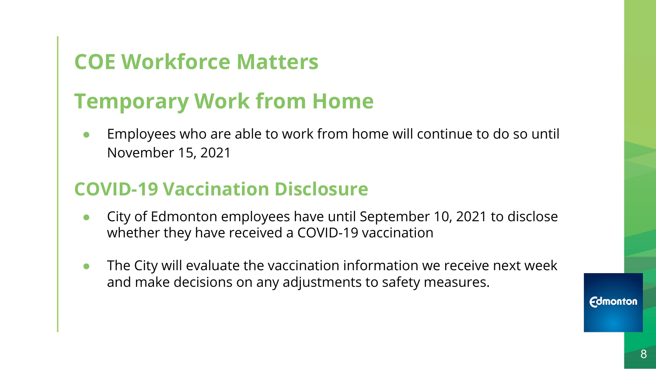# **COE Workforce Matters**

# **Temporary Work from Home**

Employees who are able to work from home will continue to do so until November 15, 2021

#### **COVID-19 Vaccination Disclosure**

- City of Edmonton employees have until September 10, 2021 to disclose whether they have received a COVID-19 vaccination
- The City will evaluate the vaccination information we receive next week and make decisions on any adjustments to safety measures.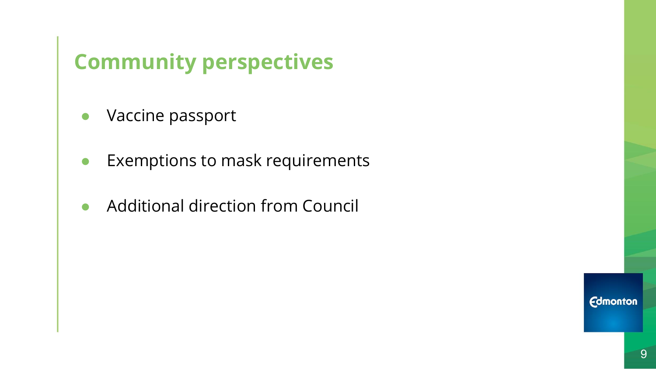# **Community perspectives**

- Vaccine passport
- Exemptions to mask requirements
- Additional direction from Council